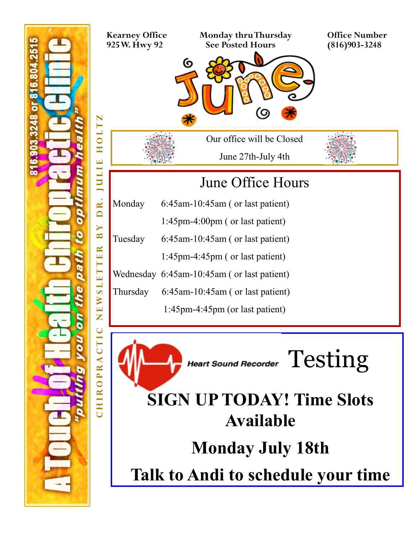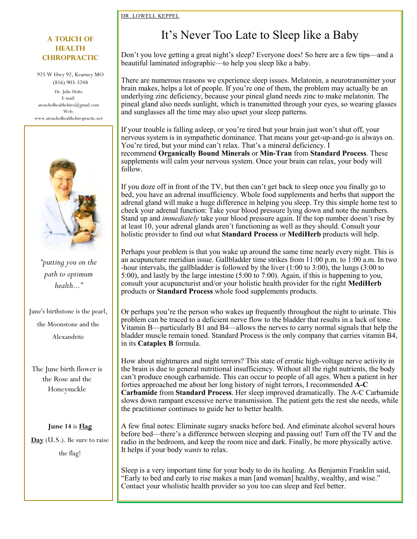#### [DR. LOWELL KEPPEL](https://www.seleneriverpress.com/category/practitioners-corner/dr-lowell-keppel/)

#### **A Touch of Health chiropractic**

925 W Hwy 92, Kearney MO (816) 903-3248 Dr. Julie Holtz E-mail: atouchofhealthchiro@gmail.com Web: www.atouchofhealthchiropractic.net



*"putting you on the path to optimum health..."*

June's birthstone is the pearl,

the Moonstone and the

Alexandrite

The June birth flower is the Rose and the Honeysuckle

**June 14** is **[Flag](https://www.almanac.com/content/flag-day-celebration-american-flag)** 

**[Day](https://www.almanac.com/content/flag-day-celebration-american-flag)** (U.S.). Be sure to raise

the flag!

## It's Never Too Late to Sleep like a Baby

Don't you love getting a great night's sleep? Everyone does! So here are a few tips—and a beautiful [laminated infographic—t](https://www.seleneriverpress.com/shop/its-never-too-late-to-sleep-like-a-baby/)o help you sleep like a baby.

There are numerous reasons we experience sleep issues. Melatonin, a neurotransmitter your brain makes, helps a lot of people. If you're one of them, the problem may actually be an underlying zinc deficiency, because your pineal gland needs zinc to make melatonin. The pineal gland also needs sunlight, which is transmitted through your eyes, so wearing glasses and sunglasses all the time may also upset your sleep patterns.

If your trouble is falling asleep, or you're tired but your brain just won't shut off, your nervous system is in sympathetic dominance. That means your get-up-and-go is always on. You're tired, but your mind can't relax. That's a mineral deficiency. I recommend **[Organically Bound Minerals](https://www.standardprocess.com/Products/Standard-Process/Organically-Bound-Minerals)** or **Min-[Tran](https://www.standardprocess.com/Products/Standard-Process/Min-Tran)** from **[Standard Process](https://www.standardprocess.com/Home)**. These supplements will calm your nervous system. Once your brain can relax, your body will follow.

If you doze off in front of the TV, but then can't get back to sleep once you finally go to bed, you have an adrenal insufficiency. Whole food supplements and herbs that support the adrenal gland will make a huge difference in helping you sleep. Try this simple home test to check your adrenal function: Take your blood pressure lying down and note the numbers. Stand up and *immediately* take your blood pressure again. If the top number doesn't rise by at least 10, your adrenal glands aren't functioning as well as they should. Consult your holistic provider to find out what **Standard Process** or **[MediHerb](https://www.standardprocess.com/MediHerb)** products will help.

Perhaps your problem is that you wake up around the same time nearly every night. This is an acupuncture meridian issue. Gallbladder time strikes from 11:00 p.m. to 1:00 a.m. In two -hour intervals, the gallbladder is followed by the liver (1:00 to 3:00), the lungs (3:00 to 5:00), and lastly by the large intestine (5:00 to 7:00). Again, if this is happening to you, consult your acupuncturist and/or your holistic health provider for the right **MediHerb**  products or **Standard Process** whole food supplements products.

Or perhaps you're the person who wakes up frequently throughout the night to urinate. This problem can be traced to a deficient nerve flow to the bladder that results in a lack of tone. Vitamin B—particularly B1 and B4—allows the nerves to carry normal signals that help the bladder muscle remain toned. Standard Process is the only company that carries vitamin B4, in its **[Cataplex B](https://www.standardprocess.com/Products/Standard-Process/Cataplex-B)** formula.

How about nightmares and night terrors? This state of erratic high-voltage nerve activity in the brain is due to general nutritional insufficiency. Without all the right nutrients, the body can't produce enough carbamide. This can occur to people of all ages. When a patient in her forties approached me about her long history of night terrors, I recommended **A-[C](https://www.standardprocess.com/Products/Standard-Process/A-C-Carbamide)  [Carbamide](https://www.standardprocess.com/Products/Standard-Process/A-C-Carbamide)** from **Standard Process**. Her sleep improved dramatically. The A-C Carbamide slows down rampant excessive nerve transmission. The patient gets the rest she needs, while the practitioner continues to guide her to better health.

A few final notes: Eliminate sugary snacks before bed. And eliminate alcohol several hours before bed—there's a difference between sleeping and passing out! Turn off the TV and the radio in the bedroom, and keep the room nice and dark. Finally, be more physically active. It helps if your body *wants* to relax.

Sleep is a very important time for your body to do its healing. As Benjamin Franklin said, "Early to bed and early to rise makes a man [and woman] healthy, wealthy, and wise." Contact your wholistic health provider so you too can sleep and feel better.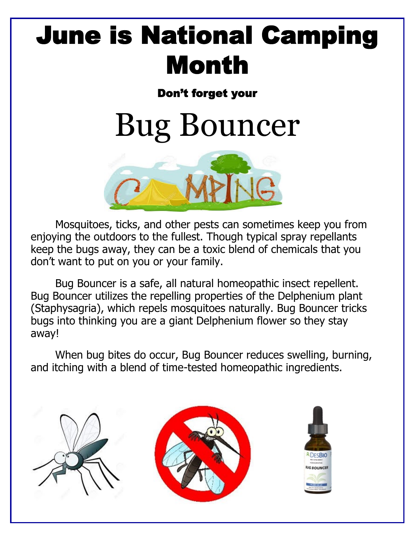## June is National Camping Month

## Don't forget your

# Bug Bouncer



Mosquitoes, ticks, and other pests can sometimes keep you from enjoying the outdoors to the fullest. Though typical spray repellants keep the bugs away, they can be a toxic blend of chemicals that you don't want to put on you or your family.

Bug Bouncer is a safe, all natural homeopathic insect repellent. Bug Bouncer utilizes the repelling properties of the Delphenium plant (Staphysagria), which repels mosquitoes naturally. Bug Bouncer tricks bugs into thinking you are a giant Delphenium flower so they stay away!

When bug bites do occur, Bug Bouncer reduces swelling, burning, and itching with a blend of time-tested homeopathic ingredients.